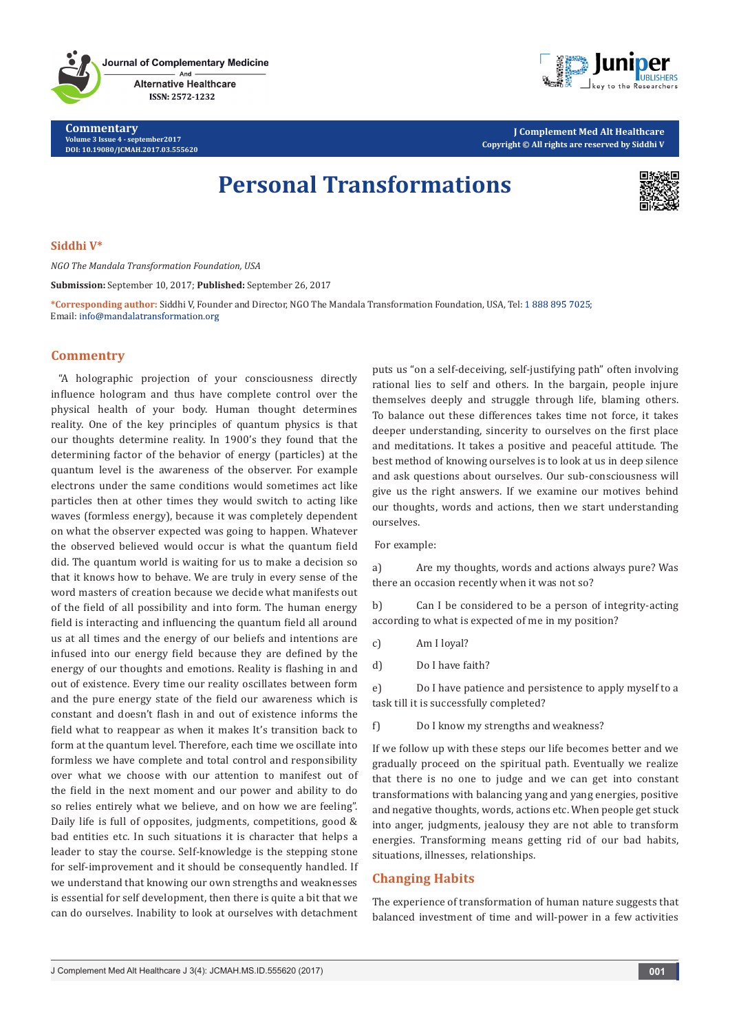**Journal of Complementary Medicine** And **Alternative Healthcare** ISSN: 2572-1232

**Commentary Volume 3 Issue 4 - september2017 DOI: [10.19080/JCMAH.2017.03.555620](http://dx.doi.org/10.19080/JCMAH.2017.03.555620)**



**J Complement Med Alt Healthcare Copyright © All rights are reserved by Siddhi V**

# **Personal Transformations**



#### **Siddhi V\***

*NGO The Mandala Transformation Foundation, USA*

**Submission:** September 10, 2017; **Published:** September 26, 2017

**\*Corresponding author:** Siddhi V, Founder and Director, NGO The Mandala Transformation Foundation, USA, Tel: ; Email: info@mandalatransformation.org

## **Commentry**

 "A holographic projection of your consciousness directly influence hologram and thus have complete control over the physical health of your body. Human thought determines reality. One of the key principles of quantum physics is that our thoughts determine reality. In 1900's they found that the determining factor of the behavior of energy (particles) at the quantum level is the awareness of the observer. For example electrons under the same conditions would sometimes act like particles then at other times they would switch to acting like waves (formless energy), because it was completely dependent on what the observer expected was going to happen. Whatever the observed believed would occur is what the quantum field did. The quantum world is waiting for us to make a decision so that it knows how to behave. We are truly in every sense of the word masters of creation because we decide what manifests out of the field of all possibility and into form. The human energy field is interacting and influencing the quantum field all around us at all times and the energy of our beliefs and intentions are infused into our energy field because they are defined by the energy of our thoughts and emotions. Reality is flashing in and out of existence. Every time our reality oscillates between form and the pure energy state of the field our awareness which is constant and doesn't flash in and out of existence informs the field what to reappear as when it makes It's transition back to form at the quantum level. Therefore, each time we oscillate into formless we have complete and total control and responsibility over what we choose with our attention to manifest out of the field in the next moment and our power and ability to do so relies entirely what we believe, and on how we are feeling". Daily life is full of opposites, judgments, competitions, good & bad entities etc. In such situations it is character that helps a leader to stay the course. Self-knowledge is the stepping stone for self-improvement and it should be consequently handled. If we understand that knowing our own strengths and weaknesses is essential for self development, then there is quite a bit that we can do ourselves. Inability to look at ourselves with detachment puts us "on a self-deceiving, self-justifying path" often involving rational lies to self and others. In the bargain, people injure themselves deeply and struggle through life, blaming others. To balance out these differences takes time not force, it takes deeper understanding, sincerity to ourselves on the first place and meditations. It takes a positive and peaceful attitude. The best method of knowing ourselves is to look at us in deep silence and ask questions about ourselves. Our sub-consciousness will give us the right answers. If we examine our motives behind our thoughts, words and actions, then we start understanding ourselves.

#### For example:

a) Are my thoughts, words and actions always pure? Was there an occasion recently when it was not so?

b) Can I be considered to be a person of integrity-acting according to what is expected of me in my position?

- c) Am I loyal?
- d) Do I have faith?

e) Do I have patience and persistence to apply myself to a task till it is successfully completed?

f) Do I know my strengths and weakness?

If we follow up with these steps our life becomes better and we gradually proceed on the spiritual path. Eventually we realize that there is no one to judge and we can get into constant transformations with balancing yang and yang energies, positive and negative thoughts, words, actions etc. When people get stuck into anger, judgments, jealousy they are not able to transform energies. Transforming means getting rid of our bad habits, situations, illnesses, relationships.

### **Changing Habits**

The experience of transformation of human nature suggests that balanced investment of time and will-power in a few activities